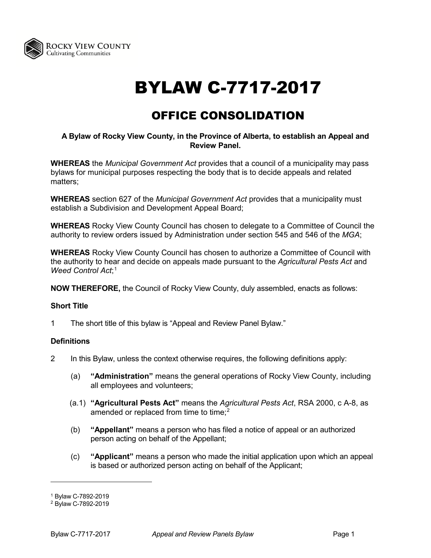

# BYLAW C-7717-2017

# OFFICE CONSOLIDATION

#### **A Bylaw of Rocky View County, in the Province of Alberta, to establish an Appeal and Review Panel.**

**WHEREAS** the *Municipal Government Act* provides that a council of a municipality may pass bylaws for municipal purposes respecting the body that is to decide appeals and related matters;

**WHEREAS** section 627 of the *Municipal Government Act* provides that a municipality must establish a Subdivision and Development Appeal Board;

**WHEREAS** Rocky View County Council has chosen to delegate to a Committee of Council the authority to review orders issued by Administration under section 545 and 546 of the *MGA*;

**WHEREAS** Rocky View County Council has chosen to authorize a Committee of Council with the authority to hear and decide on appeals made pursuant to the *Agricultural Pests Act* and *Weed Control Act*; [1](#page-0-0)

**NOW THEREFORE,** the Council of Rocky View County, duly assembled, enacts as follows:

# **Short Title**

1 The short title of this bylaw is "Appeal and Review Panel Bylaw."

# **Definitions**

- 2 In this Bylaw, unless the context otherwise requires, the following definitions apply:
	- (a) **"Administration"** means the general operations of Rocky View County, including all employees and volunteers;
	- (a.1) **"Agricultural Pests Act"** means the *Agricultural Pests Act*, RSA 2000, c A-8, as amended or replaced from time to time;<sup>[2](#page-0-1)</sup>
	- (b) **"Appellant"** means a person who has filed a notice of appeal or an authorized person acting on behalf of the Appellant;
	- (c) **"Applicant"** means a person who made the initial application upon which an appeal is based or authorized person acting on behalf of the Applicant;

<span id="page-0-0"></span><sup>1</sup> Bylaw C-7892-2019

<span id="page-0-1"></span><sup>2</sup> Bylaw C-7892-2019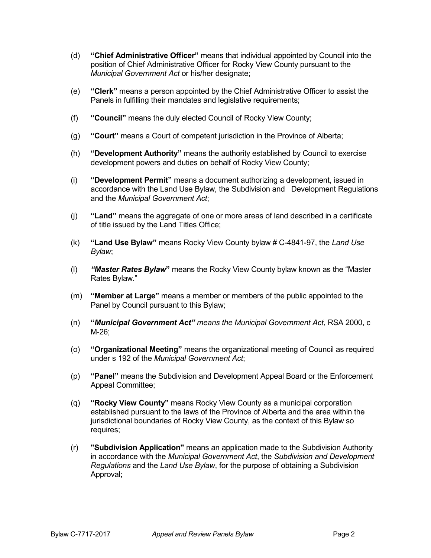- (d) **"Chief Administrative Officer"** means that individual appointed by Council into the position of Chief Administrative Officer for Rocky View County pursuant to the *Municipal Government Act* or his/her designate;
- (e) **"Clerk"** means a person appointed by the Chief Administrative Officer to assist the Panels in fulfilling their mandates and legislative requirements;
- (f) **"Council"** means the duly elected Council of Rocky View County;
- (g) **"Court"** means a Court of competent jurisdiction in the Province of Alberta;
- (h) **"Development Authority"** means the authority established by Council to exercise development powers and duties on behalf of Rocky View County;
- (i) **"Development Permit"** means a document authorizing a development, issued in accordance with the Land Use Bylaw, the Subdivision and Development Regulations and the *Municipal Government Act*;
- (j) **"Land"** means the aggregate of one or more areas of land described in a certificate of title issued by the Land Titles Office;
- (k) **"Land Use Bylaw"** means Rocky View County bylaw # C-4841-97, the *Land Use Bylaw*;
- (l) *"Master Rates Bylaw***"** means the Rocky View County bylaw known as the "Master Rates Bylaw."
- (m) **"Member at Large"** means a member or members of the public appointed to the Panel by Council pursuant to this Bylaw;
- (n) **"***Municipal Government Act" means the Municipal Government Act,* RSA 2000, c M-26;
- (o) **"Organizational Meeting"** means the organizational meeting of Council as required under s 192 of the *Municipal Government Act*;
- (p) **"Panel"** means the Subdivision and Development Appeal Board or the Enforcement Appeal Committee;
- (q) **"Rocky View County"** means Rocky View County as a municipal corporation established pursuant to the laws of the Province of Alberta and the area within the jurisdictional boundaries of Rocky View County, as the context of this Bylaw so requires;
- (r) **"Subdivision Application"** means an application made to the Subdivision Authority in accordance with the *Municipal Government Act*, the *Subdivision and Development Regulations* and the *Land Use Bylaw*, for the purpose of obtaining a Subdivision Approval;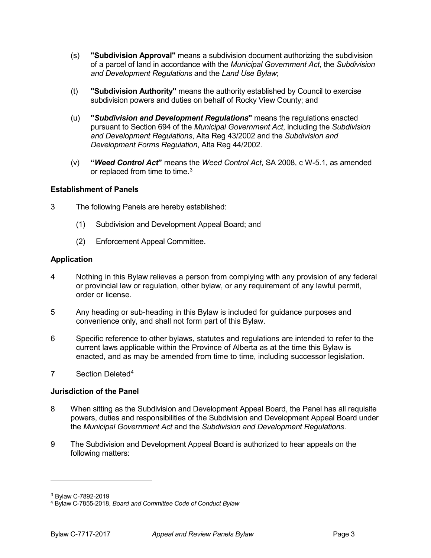- (s) **"Subdivision Approval"** means a subdivision document authorizing the subdivision of a parcel of land in accordance with the *Municipal Government Act*, the *Subdivision and Development Regulations* and the *Land Use Bylaw*;
- (t) **"Subdivision Authority"** means the authority established by Council to exercise subdivision powers and duties on behalf of Rocky View County; and
- (u) **"***Subdivision and Development Regulations***"** means the regulations enacted pursuant to Section 694 of the *Municipal Government Act*, including the *Subdivision and Development Regulations*, Alta Reg 43/2002 and the *Subdivision and Development Forms Regulation*, Alta Reg 44/2002.
- (v) **"***Weed Control Act***"** means the *Weed Control Act*, SA 2008, c W-5.1, as amended or replaced from time to time.<sup>[3](#page-2-0)</sup>

# **Establishment of Panels**

- 3 The following Panels are hereby established:
	- (1) Subdivision and Development Appeal Board; and
	- (2) Enforcement Appeal Committee.

# **Application**

- 4 Nothing in this Bylaw relieves a person from complying with any provision of any federal or provincial law or regulation, other bylaw, or any requirement of any lawful permit, order or license.
- 5 Any heading or sub-heading in this Bylaw is included for guidance purposes and convenience only, and shall not form part of this Bylaw.
- 6 Specific reference to other bylaws, statutes and regulations are intended to refer to the current laws applicable within the Province of Alberta as at the time this Bylaw is enacted, and as may be amended from time to time, including successor legislation.
- 7 Section Deleted<sup>[4](#page-2-1)</sup>

# **Jurisdiction of the Panel**

- 8 When sitting as the Subdivision and Development Appeal Board, the Panel has all requisite powers, duties and responsibilities of the Subdivision and Development Appeal Board under the *Municipal Government Act* and the *Subdivision and Development Regulations*.
- 9 The Subdivision and Development Appeal Board is authorized to hear appeals on the following matters:

-

<span id="page-2-0"></span><sup>3</sup> Bylaw C-7892-2019

<span id="page-2-1"></span><sup>4</sup> Bylaw C-7855-2018, *Board and Committee Code of Conduct Bylaw*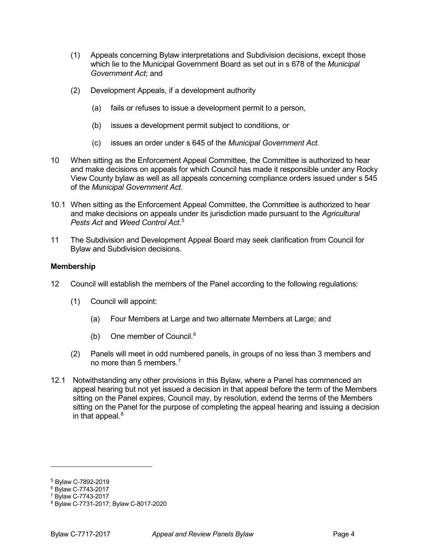- (1) Appeals concerning Bylaw interpretations and Subdivision decisions, except those which lie to the Municipal Government Board as set out in s 678 of the *Municipal Government Act*; and
- (2) Development Appeals, if a development authority
	- (a) fails or refuses to issue a development permit to a person,
	- (b) issues a development permit subject to conditions, or
	- (c) issues an order under s 645 of the *Municipal Government Act.*
- 10 When sitting as the Enforcement Appeal Committee, the Committee is authorized to hear and make decisions on appeals for which Council has made it responsible under any Rocky View County bylaw as well as all appeals concerning compliance orders issued under s 545 of the *Municipal Government Act*.
- 10.1 When sitting as the Enforcement Appeal Committee, the Committee is authorized to hear and make decisions on appeals under its jurisdiction made pursuant to the *Agricultural Pests Act* and *Weed Control Act*. [5](#page-3-0)
- 11 The Subdivision and Development Appeal Board may seek clarification from Council for Bylaw and Subdivision decisions.

#### **Membership**

- 12 Council will establish the members of the Panel according to the following regulations:
	- (1) Council will appoint:
		- (a) Four Members at Large and two alternate Members at Large; and
		- (b) One member of Council. [6](#page-3-1)
	- (2) Panels will meet in odd numbered panels, in groups of no less than 3 members and no more than 5 members.<sup>[7](#page-3-2)</sup>
- 12.1 Notwithstanding any other provisions in this Bylaw, where a Panel has commenced an appeal hearing but not yet issued a decision in that appeal before the term of the Members sitting on the Panel expires, Council may, by resolution, extend the terms of the Members sitting on the Panel for the purpose of completing the appeal hearing and issuing a decision in that appeal. $8$

-

<span id="page-3-0"></span><sup>5</sup> Bylaw C-7892-2019

<span id="page-3-2"></span><span id="page-3-1"></span><sup>6</sup> Bylaw C-7743-2017

<sup>7</sup> Bylaw C-7743-2017

<span id="page-3-3"></span><sup>8</sup> Bylaw C-7731-2017; Bylaw C-8017-2020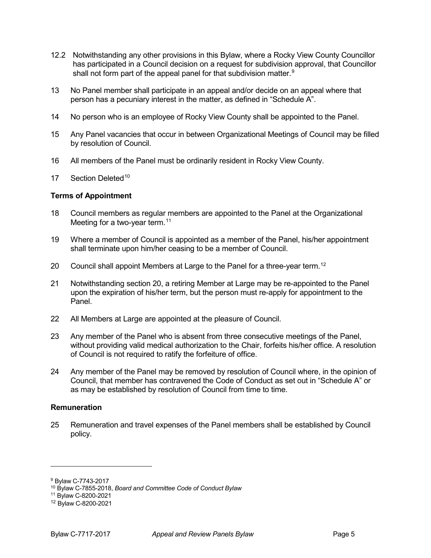- 12.2 Notwithstanding any other provisions in this Bylaw, where a Rocky View County Councillor has participated in a Council decision on a request for subdivision approval, that Councillor shall not form part of the appeal panel for that subdivision matter.<sup>[9](#page-4-0)</sup>
- 13 No Panel member shall participate in an appeal and/or decide on an appeal where that person has a pecuniary interest in the matter, as defined in "Schedule A".
- 14 No person who is an employee of Rocky View County shall be appointed to the Panel.
- 15 Any Panel vacancies that occur in between Organizational Meetings of Council may be filled by resolution of Council.
- 16 All members of the Panel must be ordinarily resident in Rocky View County.
- 17 Section Deleted<sup>[10](#page-4-1)</sup>

#### **Terms of Appointment**

- 18 Council members as regular members are appointed to the Panel at the Organizational Meeting for a two-year term.<sup>[11](#page-4-2)</sup>
- 19 Where a member of Council is appointed as a member of the Panel, his/her appointment shall terminate upon him/her ceasing to be a member of Council.
- 20 Council shall appoint Members at Large to the Panel for a three-year term.<sup>[12](#page-4-3)</sup>
- 21 Notwithstanding section 20, a retiring Member at Large may be re-appointed to the Panel upon the expiration of his/her term, but the person must re-apply for appointment to the Panel.
- 22 All Members at Large are appointed at the pleasure of Council.
- 23 Any member of the Panel who is absent from three consecutive meetings of the Panel, without providing valid medical authorization to the Chair, forfeits his/her office. A resolution of Council is not required to ratify the forfeiture of office.
- 24 Any member of the Panel may be removed by resolution of Council where, in the opinion of Council, that member has contravened the Code of Conduct as set out in "Schedule A" or as may be established by resolution of Council from time to time.

#### **Remuneration**

25 Remuneration and travel expenses of the Panel members shall be established by Council policy.

<span id="page-4-1"></span><span id="page-4-0"></span><sup>9</sup> Bylaw C-7743-2017

<sup>10</sup> Bylaw C-7855-2018, *Board and Committee Code of Conduct Bylaw*

<span id="page-4-2"></span><sup>11</sup> Bylaw C-8200-2021

<span id="page-4-3"></span><sup>12</sup> Bylaw C-8200-2021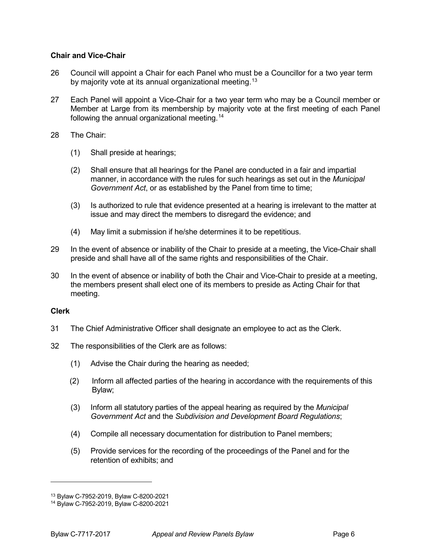# **Chair and Vice-Chair**

- 26 Council will appoint a Chair for each Panel who must be a Councillor for a two year term by majority vote at its annual organizational meeting.<sup>[13](#page-5-0)</sup>
- 27 Each Panel will appoint a Vice-Chair for a two year term who may be a Council member or Member at Large from its membership by majority vote at the first meeting of each Panel following the annual organizational meeting.[14](#page-5-1)
- 28 The Chair:
	- (1) Shall preside at hearings;
	- (2) Shall ensure that all hearings for the Panel are conducted in a fair and impartial manner, in accordance with the rules for such hearings as set out in the *Municipal Government Act*, or as established by the Panel from time to time;
	- (3) Is authorized to rule that evidence presented at a hearing is irrelevant to the matter at issue and may direct the members to disregard the evidence; and
	- (4) May limit a submission if he/she determines it to be repetitious.
- 29 In the event of absence or inability of the Chair to preside at a meeting, the Vice-Chair shall preside and shall have all of the same rights and responsibilities of the Chair.
- 30 In the event of absence or inability of both the Chair and Vice-Chair to preside at a meeting, the members present shall elect one of its members to preside as Acting Chair for that meeting.

# **Clerk**

- 31 The Chief Administrative Officer shall designate an employee to act as the Clerk.
- 32 The responsibilities of the Clerk are as follows:
	- (1) Advise the Chair during the hearing as needed;
	- (2) Inform all affected parties of the hearing in accordance with the requirements of this Bylaw;
	- (3) Inform all statutory parties of the appeal hearing as required by the *Municipal Government Act* and the *Subdivision and Development Board Regulations*;
	- (4) Compile all necessary documentation for distribution to Panel members;
	- (5) Provide services for the recording of the proceedings of the Panel and for the retention of exhibits; and

<span id="page-5-0"></span><sup>13</sup> Bylaw C-7952-2019, Bylaw C-8200-2021

<span id="page-5-1"></span><sup>14</sup> Bylaw C-7952-2019, Bylaw C-8200-2021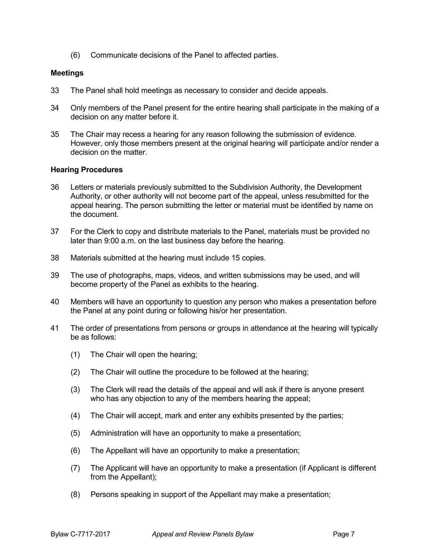(6) Communicate decisions of the Panel to affected parties.

#### **Meetings**

- 33 The Panel shall hold meetings as necessary to consider and decide appeals.
- 34 Only members of the Panel present for the entire hearing shall participate in the making of a decision on any matter before it.
- 35 The Chair may recess a hearing for any reason following the submission of evidence. However, only those members present at the original hearing will participate and/or render a decision on the matter.

#### **Hearing Procedures**

- 36 Letters or materials previously submitted to the Subdivision Authority, the Development Authority, or other authority will not become part of the appeal, unless resubmitted for the appeal hearing. The person submitting the letter or material must be identified by name on the document.
- 37 For the Clerk to copy and distribute materials to the Panel, materials must be provided no later than 9:00 a.m. on the last business day before the hearing.
- 38 Materials submitted at the hearing must include 15 copies.
- 39 The use of photographs, maps, videos, and written submissions may be used, and will become property of the Panel as exhibits to the hearing.
- 40 Members will have an opportunity to question any person who makes a presentation before the Panel at any point during or following his/or her presentation.
- 41 The order of presentations from persons or groups in attendance at the hearing will typically be as follows:
	- (1) The Chair will open the hearing;
	- (2) The Chair will outline the procedure to be followed at the hearing;
	- (3) The Clerk will read the details of the appeal and will ask if there is anyone present who has any objection to any of the members hearing the appeal;
	- (4) The Chair will accept, mark and enter any exhibits presented by the parties;
	- (5) Administration will have an opportunity to make a presentation;
	- (6) The Appellant will have an opportunity to make a presentation;
	- (7) The Applicant will have an opportunity to make a presentation (if Applicant is different from the Appellant);
	- (8) Persons speaking in support of the Appellant may make a presentation;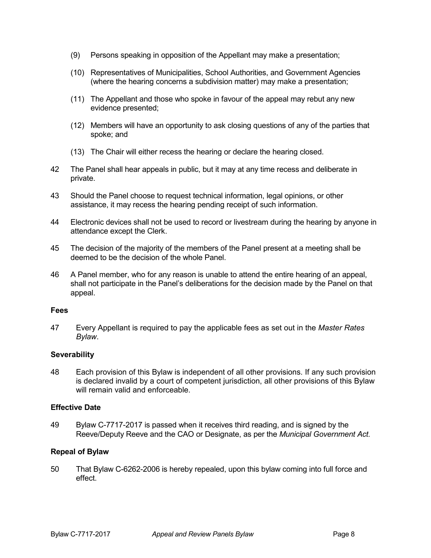- (9) Persons speaking in opposition of the Appellant may make a presentation;
- (10) Representatives of Municipalities, School Authorities, and Government Agencies (where the hearing concerns a subdivision matter) may make a presentation;
- (11) The Appellant and those who spoke in favour of the appeal may rebut any new evidence presented;
- (12) Members will have an opportunity to ask closing questions of any of the parties that spoke; and
- (13) The Chair will either recess the hearing or declare the hearing closed.
- 42 The Panel shall hear appeals in public, but it may at any time recess and deliberate in private.
- 43 Should the Panel choose to request technical information, legal opinions, or other assistance, it may recess the hearing pending receipt of such information.
- 44 Electronic devices shall not be used to record or livestream during the hearing by anyone in attendance except the Clerk.
- 45 The decision of the majority of the members of the Panel present at a meeting shall be deemed to be the decision of the whole Panel.
- 46 A Panel member, who for any reason is unable to attend the entire hearing of an appeal, shall not participate in the Panel's deliberations for the decision made by the Panel on that appeal.

#### **Fees**

47 Every Appellant is required to pay the applicable fees as set out in the *Master Rates Bylaw*.

# **Severability**

48 Each provision of this Bylaw is independent of all other provisions. If any such provision is declared invalid by a court of competent jurisdiction, all other provisions of this Bylaw will remain valid and enforceable.

#### **Effective Date**

49 Bylaw C-7717-2017 is passed when it receives third reading, and is signed by the Reeve/Deputy Reeve and the CAO or Designate, as per the *Municipal Government Act.*

# **Repeal of Bylaw**

50 That Bylaw C-6262-2006 is hereby repealed, upon this bylaw coming into full force and effect.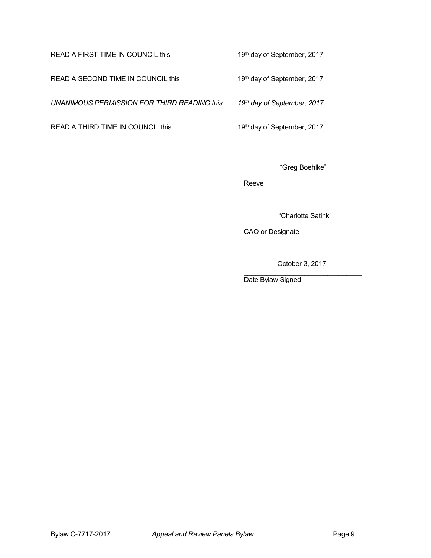READ A SECOND TIME IN COUNCIL this 19th day of September, 2017

*UNANIMOUS PERMISSION FOR THIRD READING this 19th day of September, 2017*

READ A THIRD TIME IN COUNCIL this 19th day of September, 2017

READ A FIRST TIME IN COUNCIL this 19th day of September, 2017

"Greg Boehlke"

\_\_\_\_\_\_\_\_\_\_\_\_\_\_\_\_\_\_\_\_\_\_\_\_\_\_\_\_\_\_\_ Reeve<sup>1</sup>

"Charlotte Satink"

\_\_\_\_\_\_\_\_\_\_\_\_\_\_\_\_\_\_\_\_\_\_\_\_\_\_\_\_\_\_\_ CAO or Designate

October 3, 2017

\_\_\_\_\_\_\_\_\_\_\_\_\_\_\_\_\_\_\_\_\_\_\_\_\_\_\_\_\_\_\_ Date Bylaw Signed

Bylaw C-7717-2017 **Appeal and Review Panels Bylaw Page 9**